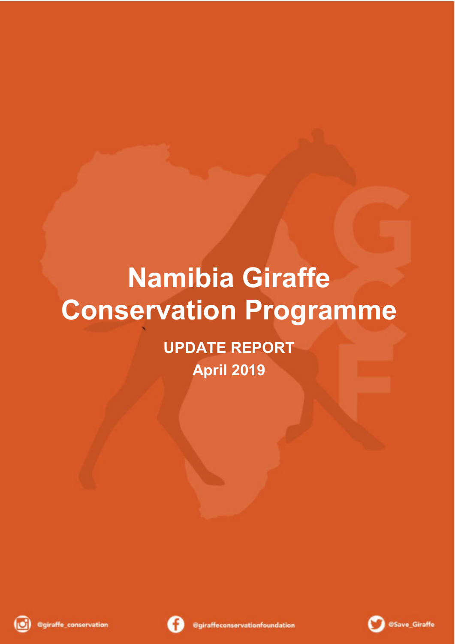## **Namibia Giraffe Conservation Programme**

**UPDATE REPORT April 2019**





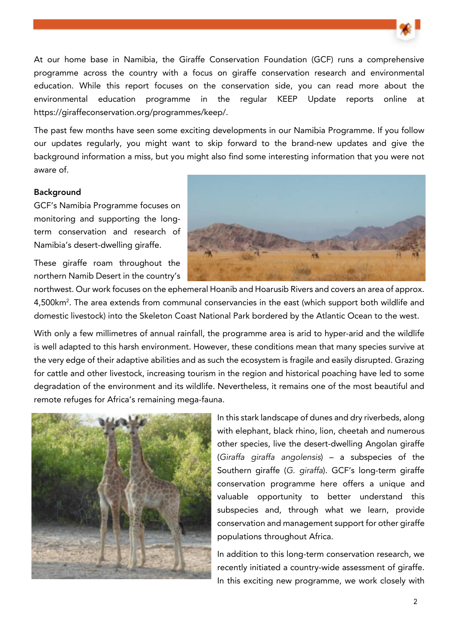

At our home base in Namibia, the Giraffe Conservation Foundation (GCF) runs a comprehensive programme across the country with a focus on giraffe conservation research and environmental education. While this report focuses on the conservation side, you can read more about the environmental education programme in the regular KEEP Update reports online at https://giraffeconservation.org/programmes/keep/.

The past few months have seen some exciting developments in our Namibia Programme. If you follow our updates regularly, you might want to skip forward to the brand-new updates and give the background information a miss, but you might also find some interesting information that you were not aware of.

## Background

GCF's Namibia Programme focuses on monitoring and supporting the longterm conservation and research of Namibia's desert-dwelling giraffe.

These giraffe roam throughout the northern Namib Desert in the country's



northwest. Our work focuses on the ephemeral Hoanib and Hoarusib Rivers and covers an area of approx. 4,500km<sup>2</sup>. The area extends from communal conservancies in the east (which support both wildlife and domestic livestock) into the Skeleton Coast National Park bordered by the Atlantic Ocean to the west.

With only a few millimetres of annual rainfall, the programme area is arid to hyper-arid and the wildlife is well adapted to this harsh environment. However, these conditions mean that many species survive at the very edge of their adaptive abilities and as such the ecosystem is fragile and easily disrupted. Grazing for cattle and other livestock, increasing tourism in the region and historical poaching have led to some degradation of the environment and its wildlife. Nevertheless, it remains one of the most beautiful and remote refuges for Africa's remaining mega-fauna.



In this stark landscape of dunes and dry riverbeds, along with elephant, black rhino, lion, cheetah and numerous other species, live the desert-dwelling Angolan giraffe (Giraffa giraffa angolensis) – a subspecies of the Southern giraffe (G. giraffa). GCF's long-term giraffe conservation programme here offers a unique and valuable opportunity to better understand this subspecies and, through what we learn, provide conservation and management support for other giraffe populations throughout Africa.

In addition to this long-term conservation research, we recently initiated a country-wide assessment of giraffe. In this exciting new programme, we work closely with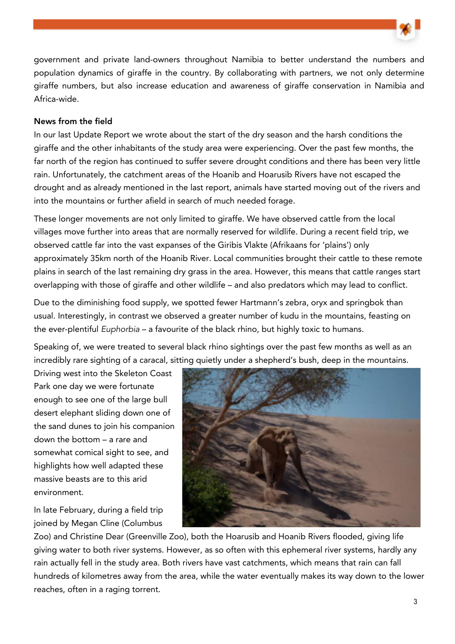government and private land-owners throughout Namibia to better understand the numbers and population dynamics of giraffe in the country. By collaborating with partners, we not only determine giraffe numbers, but also increase education and awareness of giraffe conservation in Namibia and Africa-wide.

## News from the field

In our last Update Report we wrote about the start of the dry season and the harsh conditions the giraffe and the other inhabitants of the study area were experiencing. Over the past few months, the far north of the region has continued to suffer severe drought conditions and there has been very little rain. Unfortunately, the catchment areas of the Hoanib and Hoarusib Rivers have not escaped the drought and as already mentioned in the last report, animals have started moving out of the rivers and into the mountains or further afield in search of much needed forage.

These longer movements are not only limited to giraffe. We have observed cattle from the local villages move further into areas that are normally reserved for wildlife. During a recent field trip, we observed cattle far into the vast expanses of the Giribis Vlakte (Afrikaans for 'plains') only approximately 35km north of the Hoanib River. Local communities brought their cattle to these remote plains in search of the last remaining dry grass in the area. However, this means that cattle ranges start overlapping with those of giraffe and other wildlife – and also predators which may lead to conflict.

Due to the diminishing food supply, we spotted fewer Hartmann's zebra, oryx and springbok than usual. Interestingly, in contrast we observed a greater number of kudu in the mountains, feasting on the ever-plentiful Euphorbia – a favourite of the black rhino, but highly toxic to humans.

Speaking of, we were treated to several black rhino sightings over the past few months as well as an incredibly rare sighting of a caracal, sitting quietly under a shepherd's bush, deep in the mountains.

Driving west into the Skeleton Coast Park one day we were fortunate enough to see one of the large bull desert elephant sliding down one of the sand dunes to join his companion down the bottom – a rare and somewhat comical sight to see, and highlights how well adapted these massive beasts are to this arid environment.

In late February, during a field trip joined by Megan Cline (Columbus



Zoo) and Christine Dear (Greenville Zoo), both the Hoarusib and Hoanib Rivers flooded, giving life giving water to both river systems. However, as so often with this ephemeral river systems, hardly any rain actually fell in the study area. Both rivers have vast catchments, which means that rain can fall hundreds of kilometres away from the area, while the water eventually makes its way down to the lower reaches, often in a raging torrent.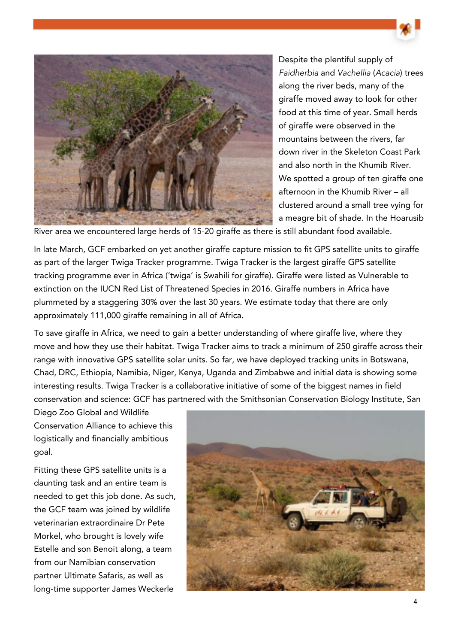

Despite the plentiful supply of Faidherbia and Vachellia (Acacia) trees along the river beds, many of the giraffe moved away to look for other food at this time of year. Small herds of giraffe were observed in the mountains between the rivers, far down river in the Skeleton Coast Park and also north in the Khumib River. We spotted a group of ten giraffe one afternoon in the Khumib River – all clustered around a small tree vying for a meagre bit of shade. In the Hoarusib

River area we encountered large herds of 15-20 giraffe as there is still abundant food available.

In late March, GCF embarked on yet another giraffe capture mission to fit GPS satellite units to giraffe as part of the larger Twiga Tracker programme. Twiga Tracker is the largest giraffe GPS satellite tracking programme ever in Africa ('twiga' is Swahili for giraffe). Giraffe were listed as Vulnerable to extinction on the IUCN Red List of Threatened Species in 2016. Giraffe numbers in Africa have plummeted by a staggering 30% over the last 30 years. We estimate today that there are only approximately 111,000 giraffe remaining in all of Africa.

To save giraffe in Africa, we need to gain a better understanding of where giraffe live, where they move and how they use their habitat. Twiga Tracker aims to track a minimum of 250 giraffe across their range with innovative GPS satellite solar units. So far, we have deployed tracking units in Botswana, Chad, DRC, Ethiopia, Namibia, Niger, Kenya, Uganda and Zimbabwe and initial data is showing some interesting results. Twiga Tracker is a collaborative initiative of some of the biggest names in field conservation and science: GCF has partnered with the Smithsonian Conservation Biology Institute, San

Diego Zoo Global and Wildlife Conservation Alliance to achieve this logistically and financially ambitious goal.

Fitting these GPS satellite units is a daunting task and an entire team is needed to get this job done. As such, the GCF team was joined by wildlife veterinarian extraordinaire Dr Pete Morkel, who brought is lovely wife Estelle and son Benoit along, a team from our Namibian conservation partner Ultimate Safaris, as well as long-time supporter James Weckerle

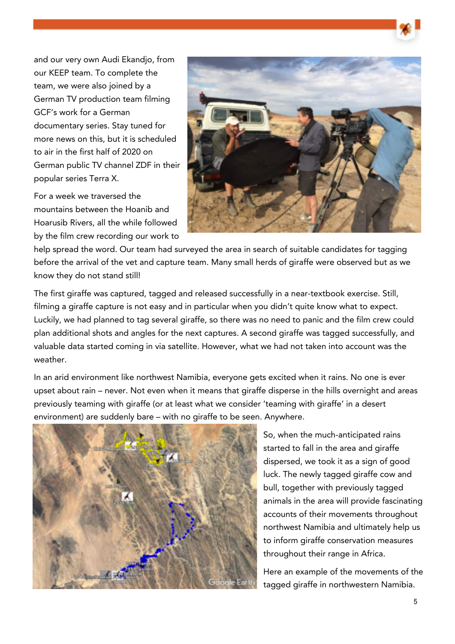and our very own Audi Ekandjo, from our KEEP team. To complete the team, we were also joined by a German TV production team filming GCF's work for a German documentary series. Stay tuned for more news on this, but it is scheduled to air in the first half of 2020 on German public TV channel ZDF in their popular series Terra X.

For a week we traversed the mountains between the Hoanib and Hoarusib Rivers, all the while followed by the film crew recording our work to



help spread the word. Our team had surveyed the area in search of suitable candidates for tagging before the arrival of the vet and capture team. Many small herds of giraffe were observed but as we know they do not stand still!

The first giraffe was captured, tagged and released successfully in a near-textbook exercise. Still, filming a giraffe capture is not easy and in particular when you didn't quite know what to expect. Luckily, we had planned to tag several giraffe, so there was no need to panic and the film crew could plan additional shots and angles for the next captures. A second giraffe was tagged successfully, and valuable data started coming in via satellite. However, what we had not taken into account was the weather.

In an arid environment like northwest Namibia, everyone gets excited when it rains. No one is ever upset about rain – never. Not even when it means that giraffe disperse in the hills overnight and areas previously teaming with giraffe (or at least what we consider 'teaming with giraffe' in a desert environment) are suddenly bare – with no giraffe to be seen. Anywhere.



So, when the much-anticipated rains started to fall in the area and giraffe dispersed, we took it as a sign of good luck. The newly tagged giraffe cow and bull, together with previously tagged animals in the area will provide fascinating accounts of their movements throughout northwest Namibia and ultimately help us to inform giraffe conservation measures throughout their range in Africa.

Here an example of the movements of the tagged giraffe in northwestern Namibia.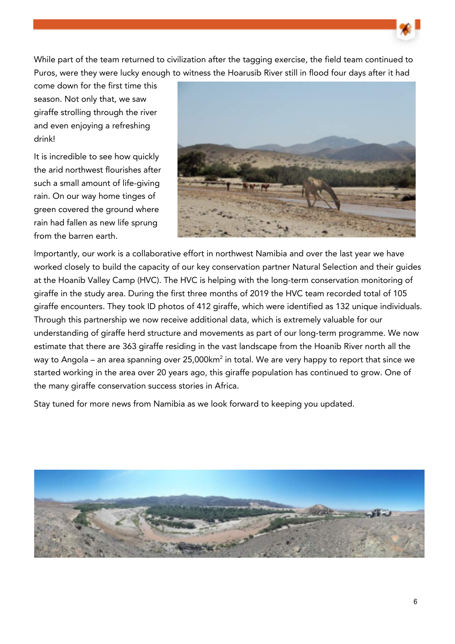While part of the team returned to civilization after the tagging exercise, the field team continued to Puros, were they were lucky enough to witness the Hoarusib River still in flood four days after it had

come down for the first time this season. Not only that, we saw giraffe strolling through the river and even enjoying a refreshing drink!

It is incredible to see how quickly the arid northwest flourishes after such a small amount of life-giving rain. On our way home tinges of green covered the ground where rain had fallen as new life sprung from the barren earth.



Importantly, our work is a collaborative effort in northwest Namibia and over the last year we have worked closely to build the capacity of our key conservation partner Natural Selection and their guides at the Hoanib Valley Camp (HVC). The HVC is helping with the long-term conservation monitoring of giraffe in the study area. During the first three months of 2019 the HVC team recorded total of 105 giraffe encounters. They took ID photos of 412 giraffe, which were identified as 132 unique individuals. Through this partnership we now receive additional data, which is extremely valuable for our understanding of giraffe herd structure and movements as part of our long-term programme. We now estimate that there are 363 giraffe residing in the vast landscape from the Hoanib River north all the way to Angola – an area spanning over 25,000km $^{\rm 2}$  in total. We are very happy to report that since we started working in the area over 20 years ago, this giraffe population has continued to grow. One of the many giraffe conservation success stories in Africa.

Stay tuned for more news from Namibia as we look forward to keeping you updated.